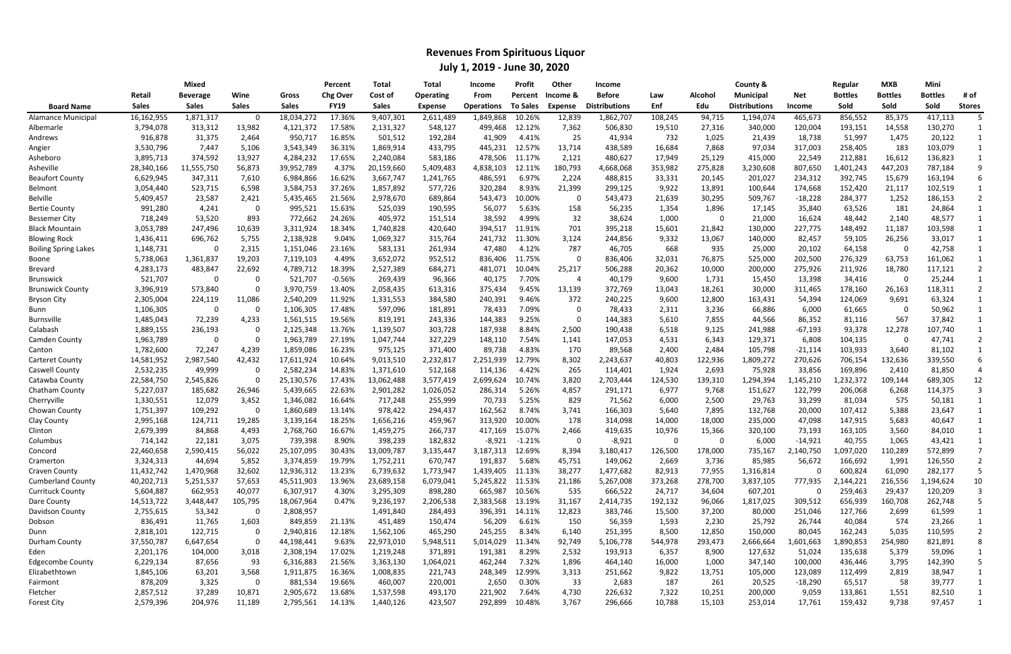|                             | <b>Mixed</b> |                        |              |              | Percent         | Total        | Total            | Income            | Profit          | Other          | <b>Income</b>        |         |         | County &             |            | Regular        | <b>MXB</b>     | Mini           |               |
|-----------------------------|--------------|------------------------|--------------|--------------|-----------------|--------------|------------------|-------------------|-----------------|----------------|----------------------|---------|---------|----------------------|------------|----------------|----------------|----------------|---------------|
|                             | Retail       | <b>Beverage</b>        | Wine         | Gross        | <b>Chg Over</b> | Cost of      | <b>Operating</b> | From              | Percent         | Income &       | <b>Before</b>        | Law     | Alcohol | <b>Municipal</b>     | <b>Net</b> | <b>Bottles</b> | <b>Bottles</b> | <b>Bottles</b> | # of          |
| <b>Board Name</b>           | <b>Sales</b> | <b>Sales</b>           | <b>Sales</b> | <b>Sales</b> | <b>FY19</b>     | <b>Sales</b> | Expense          | <b>Operations</b> | <b>To Sales</b> | <b>Expense</b> | <b>Distributions</b> | Enf     | Edu     | <b>Distributions</b> | ncome      | Sold           | Sold           | Sold           | <b>Stores</b> |
| <b>Alamance Municipal</b>   | 16,162,955   | $\overline{1,}871,317$ |              | 18,034,272   | 17.36%          | 9,407,301    | 2,611,489        | 1,849,868         | 10.26%          | 12,839         | 1,862,707            | 108,245 | 94,715  | 1,194,074            | 465,673    | 856,552        | 85,375         | 417,113        |               |
| Albemarle                   | 3,794,078    | 313,312                | 13,982       | 4,121,372    | 17.58%          | 2,131,327    | 548,127          | 499,468           | 12.12%          | 7,362          | 506,830              | 19,510  | 27,316  | 340,000              | 120,004    | 193,151        | 14,558         | 130,270        |               |
| Andrews                     | 916,878      | 31,375                 | 2,464        | 950,717      | 16.85%          | 501,512      | 192,284          | 41,909            | 4.41%           | 25             | 41,934               | 732     | 1,025   | 21,439               | 18,738     | 51,997         | 1,475          | 20,122         |               |
| Angier                      | 3,530,796    | 7,447                  | 5,106        | 3,543,349    | 36.31%          | 1,869,914    | 433,795          | 445,231           | 12.57%          | 13,714         | 438,589              | 16,684  | 7,868   | 97,034               | 317,003    | 258,405        | 183            | 103,079        |               |
| Asheboro                    | 3,895,713    | 374,592                | 13,927       | 4,284,232    | 17.65%          | 2,240,084    | 583,186          | 478,506           | 11.17%          | 2,121          | 480,627              | 17,949  | 25,129  | 415,000              | 22,549     | 212,881        | 16,612         | 136,823        |               |
| Asheville                   | 28,340,166   | 11,555,750             | 56,873       | 39,952,789   | 4.37%           | 20,159,660   | 5,409,483        | 4,838,103         | 12.11%          | 180,793        | 4,668,068            | 353,982 | 275,828 | 3,230,608            | 807,650    | ,401,243       | 447,203        | 787,184        |               |
| <b>Beaufort County</b>      | 6,629,945    | 347,311                | 7,610        | 6,984,866    | 16.62%          | 3,667,747    | 1,241,765        | 486,591           | 6.97%           | 2,224          | 488,815              | 33,331  | 20,145  | 201,027              | 234,312    | 392,745        | 15,679         | 163,194        |               |
| Belmont                     | 3,054,440    | 523,715                | 6,598        | 3,584,753    | 37.26%          | 1,857,892    | 577,726          | 320,284           | 8.93%           | 21,399         | 299,125              | 9,922   | 13,891  | 100,644              | 174,668    | 152,420        | 21,117         | 102,519        |               |
| Belville                    | 5,409,457    | 23,587                 | 2,421        | 5,435,465    | 21.56%          | 2,978,670    | 689,864          | 543,473           | 10.00%          | 0              | 543,473              | 21,639  | 30,295  | 509,767              | $-18,228$  | 284,377        | 1,252          | 186,153        |               |
| <b>Bertie County</b>        | 991,280      | 4,241                  | - 0          | 995,521      | 15.63%          | 525,039      | 190,595          | 56,077            | 5.63%           | 158            | 56,235               | 1,354   | 1,896   | 17,145               | 35,840     | 63,526         | 181            | 24,864         |               |
| <b>Bessemer City</b>        | 718,249      | 53,520                 | 893          | 772,662      | 24.26%          | 405,972      | 151,514          | 38,592            | 4.99%           | 32             | 38,624               | 1,000   | 0       | 21,000               | 16,624     | 48,442         | 2,140          | 48,577         |               |
| <b>Black Mountain</b>       | 3,053,789    | 247,496                | 10,639       | 3,311,924    | 18.34%          | 1,740,828    | 420,640          | 394,517           | 11.91%          | 701            | 395,218              | 15,601  | 21,842  | 130,000              | 227,775    | 148,492        | 11,187         | 103,598        |               |
| <b>Blowing Rock</b>         | 1,436,411    | 696,762                | 5,755        | 2,138,928    | 9.04%           | 1,069,327    | 315,764          | 241,732           | 11.30%          | 3,124          | 244,856              | 9,332   | 13,067  | 140,000              | 82,457     | 59,105         | 26,256         | 33,017         |               |
| <b>Boiling Spring Lakes</b> | 1,148,731    |                        | 2,315        | 1,151,046    | 23.16%          | 583,131      | 261,934          | 47,480            | 4.12%           | 787            | 46,705               | 668     | 935     | 25,000               | 20,102     | 64,158         | C.             | 42,758         |               |
| Boone                       | 5,738,063    | 1,361,837              | 19,203       | 7,119,103    | 4.49%           | 3,652,072    | 952,512          | 836,406           | 11.75%          | $\Omega$       | 836,406              | 32,031  | 76,875  | 525,000              | 202,500    | 276,329        | 63,753         | 161,062        |               |
| <b>Brevard</b>              | 4,283,173    | 483,847                | 22,692       | 4,789,712    | 18.39%          | 2,527,389    | 684,271          | 481,071           | 10.04%          | 25,217         | 506,288              | 20,362  | 10,000  | 200,000              | 275,926    | 211,926        | 18,780         | 117,121        |               |
| <b>Brunswick</b>            | 521,707      |                        |              | 521,707      | $-0.56%$        | 269,439      | 96,366           | 40,175            | 7.70%           | 4              | 40,179               | 9,600   | 1,731   | 15,450               | 13,398     | 34,416         |                | 25,244         |               |
| <b>Brunswick County</b>     | 3,396,919    | 573,840                |              | 3,970,759    | 13.40%          | 2,058,435    | 613,316          | 375,434           | 9.45%           | 13,139         | 372,769              | 13,043  | 18,261  | 30,000               | 311,465    | 178,160        | 26,163         | 118,311        |               |
| <b>Bryson City</b>          | 2,305,004    | 224,119                | 11,086       | 2,540,209    | 11.92%          | 1,331,553    | 384,580          | 240,391           | 9.46%           | 372            | 240,225              | 9,600   | 12,800  | 163,431              | 54,394     | 124,069        | 9,691          | 63,324         |               |
| Bunn                        | 1,106,305    | - റ                    |              | 1,106,305    | 17.48%          | 597,096      | 181,891          | 78,433            | 7.09%           | 0              | 78,433               | 2,311   | 3,236   | 66,886               | 6,000      | 61,665         | -C             | 50,962         |               |
| <b>Burnsville</b>           | 1,485,043    | 72,239                 | 4,233        | 1,561,515    | 19.56%          | 819,191      | 243,336          | 144,383           | 9.25%           | $\Omega$       | 144,383              | 5,610   | 7,855   | 44,566               | 86,352     | 81,116         | 567            | 37,842         |               |
| Calabash                    | 1,889,155    | 236,193                |              | 2,125,348    | 13.76%          | 1,139,507    | 303,728          | 187,938           | 8.84%           | 2,500          | 190,438              | 6,518   | 9,125   | 241,988              | $-67,193$  | 93,378         | 12,278         | 107,740        |               |
| Camden County               | 1,963,789    |                        |              | 1,963,789    | 27.19%          | 1,047,744    | 327,229          | 148,110           | 7.54%           | 1,141          | 147,053              | 4,531   | 6,343   | 129,371              | 6,808      | 104,135        | -0             | 47,741         |               |
| Canton                      | 1,782,600    | 72,247                 | 4,239        | 1,859,086    | 16.23%          | 975,125      | 371,400          | 89,738            | 4.83%           | 170            | 89,568               | 2,400   | 2,484   | 105,798              | $-21,114$  | 103,933        | 3,640          | 81,102         |               |
| <b>Carteret County</b>      | 14,581,952   | 2,987,540              | 42,432       | 17,611,924   | 10.64%          | 9,013,510    | 2,232,817        | 2,251,939         | 12.79%          | 8,302          | 2,243,637            | 40,803  | 122,936 | 1,809,272            | 270,626    | 706,154        | 132,636        | 339,550        | 6             |
| Caswell County              | 2,532,235    | 49,999                 |              | 2,582,234    | 14.83%          | 1,371,610    | 512,168          | 114,136           | 4.42%           | 265            | 114,401              | 1,924   | 2,693   | 75,928               | 33,856     | 169,896        | 2,410          | 81,850         |               |
| Catawba County              | 22,584,750   | 2,545,826              |              | 25,130,576   | 17.43%          | 13,062,488   | 3,577,419        | 2,699,624         | 10.74%          | 3,820          | 2,703,444            | 124,530 | 139,310 | 1,294,394            | l,145,210  | ,232,372       | 109,144        | 689,305        | 12            |
| Chatham County              | 5,227,037    | 185,682                | 26,946       | 5,439,665    | 22.63%          | 2,901,282    | 1,026,052        | 286,314           | 5.26%           | 4,857          | 291,171              | 6,977   | 9,768   | 151,627              | 122,799    | 206,068        | 6,268          | 114,375        |               |
| Cherryville                 | 1,330,551    | 12,079                 | 3,452        | 1,346,082    | 16.64%          | 717,248      | 255,999          | 70,733            | 5.25%           | 829            | 71,562               | 6,000   | 2,500   | 29,763               | 33,299     | 81,034         | 575            | 50,181         |               |
| Chowan County               | 1,751,397    | 109,292                |              | 1,860,689    | 13.14%          | 978,422      | 294,437          | 162,562           | 8.74%           | 3,741          | 166,303              | 5,640   | 7,895   | 132,768              | 20,000     | 107,412        | 5,388          | 23,647         |               |
| Clay County                 | 2,995,168    | 124,711                | 19,285       | 3,139,164    | 18.25%          | 1,656,216    | 459,967          | 313,920           | 10.00%          | 178            | 314,098              | 14,000  | 18,000  | 235,000              | 47,098     | 147,915        | 5,683          | 40,647         |               |
| Clinton                     | 2,679,399    | 84,868                 | 4,493        | 2,768,760    | 16.67%          | 1,459,275    | 266,737          | 417,169           | 15.07%          | 2,466          | 419,635              | 10,976  | 15,366  | 320,100              | 73,193     | 163,105        | 3,560          | 84,010         |               |
| Columbus                    | 714,142      | 22,181                 | 3,075        | 739,398      | 8.90%           | 398,239      | 182,832          | $-8,921$          | $-1.21%$        | $\Omega$       | $-8,921$             | - 0     | 0       | 6,000                | $-14,921$  | 40,755         | 1,065          | 43,421         |               |
| Concord                     | 22,460,658   | 2,590,415              | 56,022       | 25,107,095   | 30.43%          | 13,009,787   | 3,135,447        | 3,187,313         | 12.69%          | 8,394          | 3,180,417            | 126,500 | 178,000 | 735,167              | 2,140,750  | 1,097,020      | 110,289        | 572,899        |               |
| Cramerton                   | 3,324,313    | 44,694                 | 5,852        | 3,374,859    | 19.79%          | 1,752,211    | 670,747          | 191,837           | 5.68%           | 45,751         | 149,062              | 2,669   | 3,736   | 85,985               | 56,672     | 166,692        | 1,991          | 126,550        |               |
| Craven County               | 11,432,742   | 1,470,968              | 32,602       | 12,936,312   | 13.23%          | 6,739,632    | 1,773,947        | 1,439,405 11.13%  |                 | 38,277         | 1,477,682            | 82,913  | 77,955  | 1,316,814            |            | 600,824        | 61,090         | 282,177        |               |
| <b>Cumberland County</b>    | 40,202,713   | 5,251,537              | 57,653       | 45,511,903   | 13.96%          | 23,689,158   | 6,079,041        | 5,245,822 11.53%  |                 | 21,186         | 5,267,008            | 373,268 | 278,700 | 3,837,105            | 777,935    | 2,144,221      | 216,556        | 1,194,624      | 10            |
| <b>Currituck County</b>     | 5,604,887    | 662,953                | 40,077       | 6,307,917    | 4.30%           | 3,295,309    | 898,280          | 665,987           | 10.56%          | 535            | 666,522              | 24,717  | 34,604  | 607,201              |            | 259,463        | 29,437         | 120,209        |               |
| Dare County                 | 14,513,722   | 3,448,447              | 105,795      | 18,067,964   | 0.47%           | 9,236,197    | 2,206,538        | 2,383,568 13.19%  |                 | 31,167         | 2,414,735            | 192,132 | 96,066  | 1,817,025            | 309,512    | 656,939        | 160,708        | 262,748        |               |
| Davidson County             | 2,755,615    | 53,342                 |              | 2,808,957    |                 | 1,491,840    | 284,493          | 396,391           | 14.11%          | 12,823         | 383,746              | 15,500  | 37,200  | 80,000               | 251,046    | 127,766        | 2,699          | 61,599         |               |
| Dobson                      | 836,491      | 11,765                 | 1,603        | 849,859      | 21.13%          | 451,489      | 150,474          | 56,209            | 6.61%           | 150            | 56,359               | 1,593   | 2,230   | 25,792               | 26,744     | 40,084         | 574            | 23,266         |               |
| Dunn                        | 2,818,101    | 122,715                |              | 2,940,816    | 12.18%          | 1,562,106    | 465,290          | 245,255           | 8.34%           | 6,140          | 251,395              | 8,500   | 12,850  | 150,000              | 80,045     | 162,243        | 5,035          | 110,595        |               |
| Durham County               | 37,550,787   | 6,647,654              |              | 44,198,441   | 9.63%           | 22,973,010   | 5,948,511        | 5,014,029         | 11.34%          | 92,749         | 5,106,778            | 544,978 | 293,473 | 2,666,664            | 1,601,663  | 1,890,853      | 254,980        | 821,891        |               |
| Eden                        | 2,201,176    | 104,000                | 3,018        | 2,308,194    | 17.02%          | 1,219,248    | 371,891          | 191,381           | 8.29%           | 2,532          | 193,913              | 6,357   | 8,900   | 127,632              | 51,024     | 135,638        | 5,379          | 59,096         |               |
| Edgecombe County            | 6,229,134    | 87,656                 | 93           | 6,316,883    | 21.56%          | 3,363,130    | 1,064,021        | 462,244           | 7.32%           | 1,896          | 464,140              | 16,000  | 1,000   | 347,140              | 100,000    | 436,446        | 3,795          | 142,390        |               |
| Elizabethtown               | 1,845,106    | 63,201                 | 3,568        | 1,911,875    | 16.36%          | 1,008,835    | 221,743          | 248,349           | 12.99%          | 3,313          | 251,662              | 9,822   | 13,751  | 105,000              | 123,089    | 112,499        | 2,819          | 38,947         |               |
| Fairmont                    | 878,209      | 3,325                  | -0           | 881,534      | 19.66%          | 460,007      | 220,001          | 2,650             | 0.30%           | -33            | 2,683                | 187     | 261     | 20,525               | $-18,290$  | 65,517         | -58            | 39,777         |               |
| Fletcher                    | 2,857,512    | 37,289                 | 10,871       | 2,905,672    | 13.68%          | 1,537,598    | 493,170          | 221,902           | 7.64%           | 4,730          | 226,632              | 7,322   | 10,251  | 200,000              | 9,059      | 133,861        | 1,551          | 82,510         |               |
| <b>Forest City</b>          | 2,579,396    | 204,976                | 11,189       | 2,795,561    | 14.13%          | 1,440,126    | 423,507          | 292,899           | 10.48%          | 3,767          | 296,666              | 10,788  | 15,103  | 253,014              | 17,761     | 159,432        | 9,738          | 97,457         |               |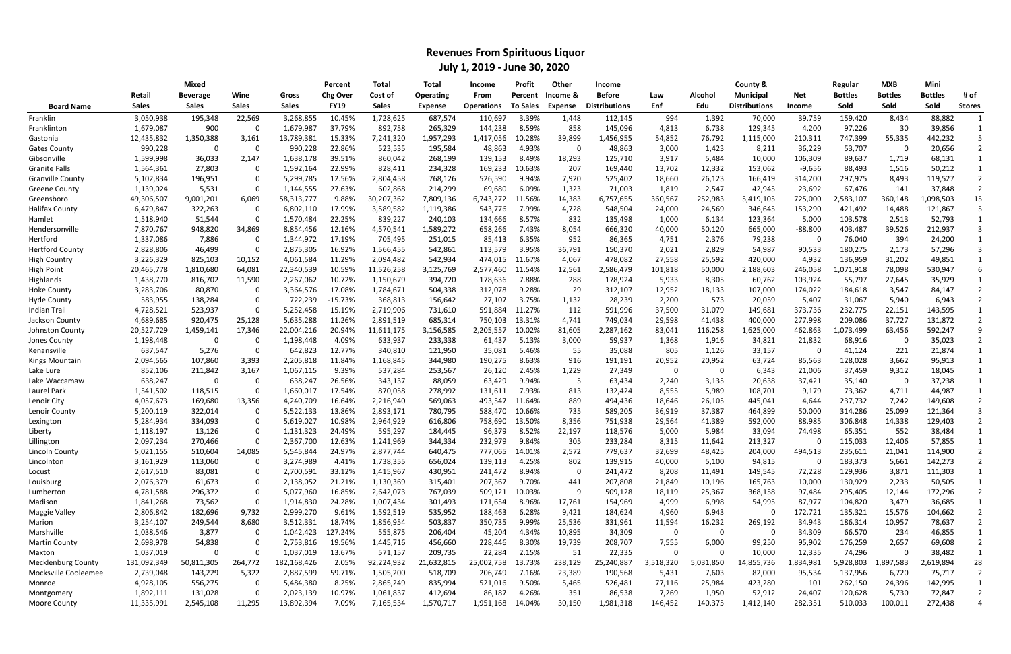|                         | Mixed        |              |              |              | Total<br>Percent |              | <b>Total</b> | Income            | Profit          | <b>Other</b> | Income               |           |                | County &             |            | Regular        | <b>MXB</b>     | Mini           |               |
|-------------------------|--------------|--------------|--------------|--------------|------------------|--------------|--------------|-------------------|-----------------|--------------|----------------------|-----------|----------------|----------------------|------------|----------------|----------------|----------------|---------------|
|                         | Retail       | Beverage     | Wine         | Gross        | <b>Chg Over</b>  | Cost of      | Operating    | From              | Percent         | Income &     | <b>Before</b>        | Law       | <b>Alcohol</b> | <b>Municipal</b>     | <b>Net</b> | <b>Bottles</b> | <b>Bottles</b> | <b>Bottles</b> | # of          |
| <b>Board Name</b>       | <b>Sales</b> | <b>Sales</b> | <b>Sales</b> | <b>Sales</b> | <b>FY19</b>      | <b>Sales</b> | Expense      | <b>Operations</b> | <b>To Sales</b> | Expense      | <b>Distributions</b> | Enf       | Edu            | <b>Distributions</b> | Income     | Sold           | Sold           | Sold           | <b>Stores</b> |
| Franklin                | 3,050,938    | 195,348      | 22,569       | 3,268,855    | 10.45%           | 1,728,625    | 687,574      | 110,697           | 3.39%           | 1,448        | 112,145              | 994       | 1,392          | 70,000               | 39,759     | 159,420        | 8,434          | 88,882         |               |
| Franklinton             | 1,679,087    | 900          |              | 1,679,987    | 37.79%           | 892,758      | 265,329      | 144,238           | 8.59%           | 858          | 145,096              | 4,813     | 6,738          | 129,345              | 4,200      | 97,226         | 30             | 39,856         |               |
| Gastonia                | 12,435,832   | 1,350,388    | 3,161        | 13,789,381   | 15.33%           | 7,241,320    | 1,957,293    | 1,417,056         | 10.28%          | 39,899       | 1,456,955            | 54,852    | 76,792         | 1,115,000            | 210,311    | 747,399        | 55,335         | 442,232        |               |
| <b>Gates County</b>     | 990,228      | -0           |              | 990,228      | 22.86%           | 523,535      | 195,584      | 48,863            | 4.93%           | 0            | 48,863               | 3,000     | 1,423          | 8,211                | 36,229     | 53,707         | 0              | 20,656         |               |
| Gibsonville             | 1,599,998    | 36,033       | 2,147        | 1,638,178    | 39.51%           | 860,042      | 268,199      | 139,153           | 8.49%           | 18,293       | 125,710              | 3,917     | 5,484          | 10,000               | 106,309    | 89,637         | 1,719          | 68,131         |               |
| Granite Falls           | 1,564,361    | 27,803       |              | 1,592,164    | 22.99%           | 828,411      | 234,328      | 169,233           | 10.63%          | 207          | 169,440              | 13,702    | 12,332         | 153,062              | $-9,656$   | 88,493         | 1,516          | 50,212         |               |
| <b>Granville County</b> | 5,102,834    | 196,951      |              | 5,299,785    | 12.56%           | 2,804,458    | 768,126      | 526,590           | 9.94%           | 7,920        | 525,402              | 18,660    | 26,123         | 166,419              | 314,200    | 297,975        | 8,493          | 119,527        |               |
| <b>Greene County</b>    | 1,139,024    | 5,531        |              | 1,144,555    | 27.63%           | 602,868      | 214,299      | 69,680            | 6.09%           | 1,323        | 71,003               | 1,819     | 2,547          | 42,945               | 23,692     | 67,476         | 141            | 37,848         |               |
| Greensboro              | 49,306,507   | 9,001,201    | 6,069        | 58,313,777   | 9.88%            | 30,207,362   | 7,809,136    | 6,743,272         | 11.56%          | 14,383       | 6,757,655            | 360,567   | 252,983        | 5,419,105            | 725,000    | 2,583,107      | 360,148        | l,098,503      | 15            |
| Halifax County          | 6,479,847    | 322,263      |              | 6,802,110    | 17.99%           | 3,589,582    | 1,119,386    | 543,776           | 7.99%           | 4,728        | 548,504              | 24,000    | 24,569         | 346,645              | 153,290    | 421,492        | 14,488         | 121,867        |               |
| Hamlet                  | 1,518,940    | 51,544       |              | 1,570,484    | 22.25%           | 839,227      | 240,103      | 134,666           | 8.57%           | 832          | 135,498              | 1,000     | 6,134          | 123,364              | 5,000      | 103,578        | 2,513          | 52,793         |               |
| Hendersonville          | 7,870,767    | 948,820      | 34,869       | 8,854,456    | 12.16%           | 4,570,541    | 1,589,272    | 658,266           | 7.43%           | 8,054        | 666,320              | 40,000    | 50,120         | 665,000              | $-88,800$  | 403,487        | 39,526         | 212,937        |               |
| Hertford                | 1,337,086    | 7,886        |              | 1,344,972    | 17.19%           | 705,495      | 251,015      | 85,413            | 6.35%           | 952          | 86,365               | 4,751     | 2,376          | 79,238               |            | 76,040         | 394            | 24,200         |               |
| <b>Hertford County</b>  | 2,828,806    | 46,499       |              | 2,875,305    | 16.92%           | 1,566,455    | 542,861      | 113,579           | 3.95%           | 36,791       | 150,370              | 2,021     | 2,829          | 54,987               | 90,533     | 180,275        | 2,173          | 57,296         |               |
| <b>High Country</b>     | 3,226,329    | 825,103      | 10,152       | 4,061,584    | 11.29%           | 2,094,482    | 542,934      | 474,015           | 11.67%          | 4,067        | 478,082              | 27,558    | 25,592         | 420,000              | 4,932      | 136,959        | 31,202         | 49,851         |               |
| <b>High Point</b>       | 20,465,778   | 1,810,680    | 64,081       | 22,340,539   | 10.59%           | 11,526,258   | 3,125,769    | 2,577,460         | 11.54%          | 12,561       | 2,586,479            | 101,818   | 50,000         | 2,188,603            | 246,058    | ,071,918       | 78,098         | 530,947        |               |
| Highlands               | 1,438,770    | 816,702      | 11,590       | 2,267,062    | 10.72%           | 1,150,679    | 394,720      | 178,636           | 7.88%           | 288          | 178,924              | 5,933     | 8,305          | 60,762               | 103,924    | 55,797         | 27,645         | 35,929         |               |
| <b>Hoke County</b>      | 3,283,706    | 80,870       |              | 3,364,576    | 17.08%           | 1,784,671    | 504,338      | 312,078           | 9.28%           | 29           | 312,107              | 12,952    | 18,133         | 107,000              | 174,022    | 184,618        | 3,547          | 84,147         |               |
| Hyde County             | 583,955      | 138,284      |              | 722,239      | $-15.73%$        | 368,813      | 156,642      | 27,107            | 3.75%           | 1,132        | 28,239               | 2,200     | 573            | 20,059               | 5,407      | 31,067         | 5,940          | 6,943          |               |
| Indian Trail            | 4,728,521    | 523,937      |              | 5,252,458    | 15.19%           | 2,719,906    | 731,610      | 591,884           | 11.27%          | 112          | 591,996              | 37,500    | 31,079         | 149,681              | 373,736    | 232,775        | 22,151         | 143,595        |               |
| Jackson County          | 4,689,685    | 920,475      | 25,128       | 5,635,288    | 11.26%           | 2,891,519    | 685,314      | 750,103           | 13.31%          | 4,741        | 749,034              | 29,598    | 41,438         | 400,000              | 277,998    | 209,086        | 37,727         | 131,872        |               |
| Johnston County         | 20,527,729   | 1,459,141    | 17,346       | 22,004,216   | 20.94%           | 11,611,175   | 3,156,585    | 2,205,557         | 10.02%          | 81,605       | 2,287,162            | 83,041    | 116,258        | 1,625,000            | 462,863    | ,073,499       | 63,456         | 592,247        |               |
| Jones County            | 1,198,448    | -0           |              | 1,198,448    | 4.09%            | 633,937      | 233,338      | 61,437            | 5.13%           | 3,000        | 59,937               | 1,368     | 1,916          | 34,821               | 21,832     | 68,916         | 0              | 35,023         |               |
| Kenansville             | 637,547      | 5,276        |              | 642,823      | 12.77%           | 340,810      | 121,950      | 35,081            | 5.46%           | 55           | 35,088               | 805       | 1,126          | 33,157               |            | 41,124         | 221            | 21,874         |               |
| Kings Mountain          | 2,094,565    | 107,860      | 3,393        | 2,205,818    | 11.84%           | 1,168,845    | 344,980      | 190,275           | 8.63%           | 916          | 191,191              | 20,952    | 20,952         | 63,724               | 85,563     | 128,028        | 3,662          | 95,913         |               |
| Lake Lure               | 852,106      | 211,842      | 3,167        | 1,067,115    | 9.39%            | 537,284      | 253,567      | 26,120            | 2.45%           | 1,229        | 27,349               | - 0       | 0              | 6,343                | 21,006     | 37,459         | 9,312          | 18,045         |               |
| Lake Waccamaw           | 638,247      | $\Omega$     |              | 638,247      | 26.56%           | 343,137      | 88,059       | 63,429            | 9.94%           | 5            | 63,434               | 2,240     | 3,135          | 20,638               | 37,421     | 35,140         | 0              | 37,238         |               |
| Laurel Park             | 1,541,502    | 118,515      |              | 1,660,017    | 17.54%           | 870,058      | 278,992      | 131,611           | 7.93%           | 813          | 132,424              | 8,555     | 5,989          | 108,701              | 9,179      | 73,362         | 4,711          | 44,987         |               |
| Lenoir City             | 4,057,673    | 169,680      | 13,356       | 4,240,709    | 16.64%           | 2,216,940    | 569,063      | 493,547           | 11.64%          | 889          | 494,436              | 18,646    | 26,105         | 445,041              | 4,644      | 237,732        | 7,242          | 149,608        |               |
| Lenoir County           | 5,200,119    | 322,014      |              | 5,522,133    | 13.86%           | 2,893,171    | 780,795      | 588,470           | 10.66%          | 735          | 589,205              | 36,919    | 37,387         | 464,899              | 50,000     | 314,286        | 25,099         | 121,364        |               |
| Lexington               | 5,284,934    | 334,093      |              | 5,619,027    | 10.98%           | 2,964,929    | 616,806      | 758,690           | 13.50%          | 8,356        | 751,938              | 29,564    | 41,389         | 592,000              | 88,985     | 306,848        | 14,338         | 129,403        |               |
| Liberty                 | 1,118,197    | 13,126       |              | 1,131,323    | 24.49%           | 595,297      | 184,445      | 96,379            | 8.52%           | 22,197       | 118,576              | 5,000     | 5,984          | 33,094               | 74,498     | 65,351         | 552            | 38,484         |               |
| Lillington              | 2,097,234    | 270,466      |              | 2,367,700    | 12.63%           | 1,241,969    | 344,334      | 232,979           | 9.84%           | 305          | 233,284              | 8,315     | 11,642         | 213,327              |            | 115,033        | 12,406         | 57,855         |               |
| Lincoln County          | 5,021,155    | 510,604      | 14,085       | 5,545,844    | 24.97%           | 2,877,744    | 640,475      | 777,065           | 14.01%          | 2,572        | 779,637              | 32,699    | 48,425         | 204,000              | 494,513    | 235,611        | 21,041         | 114,900        |               |
| Lincolnton              | 3,161,929    | 113,060      |              | 3,274,989    | 4.41%            | 1,738,355    | 656,024      | 139,113           | 4.25%           | 802          | 139,915              | 40,000    | 5,100          | 94,815               |            | 183,373        | 5,661          | 142,273        |               |
| Locust                  | 2,617,510    | 83,081       |              | 2,700,591    | 33.12%           | 1,415,967    | 430,951      | 241,472           | 8.94%           | 0            | 241,472              | 8,208     | 11,491         | 149,545              | 72,228     | 129,936        | 3,871          | 111,303        |               |
| Louisburg               | 2,076,379    | 61,673       |              | 2,138,052    | 21.21%           | 1,130,369    | 315,401      | 207,367           | 9.70%           | 441          | 207,808              | 21,849    | 10,196         | 165,763              | 10,000     | 130,929        | 2,233          | 50,505         |               |
| Lumberton               | 4,781,588    | 296,372      |              | 5,077,960    | 16.85%           | 2,642,073    | 767,039      | 509,121           | 10.03%          | 9            | 509,128              | 18,119    | 25,367         | 368,158              | 97,484     | 295,405        | 12,144         | 172,296        |               |
| Madison                 | 1,841,268    | 73,562       |              | 1,914,830    | 24.28%           | 1,007,434    | 301,493      | 171,654           | 8.96%           | 17,761       | 154,969              | 4,999     | 6,998          | 54,995               | 87,977     | 104,820        | 3,479          | 36,685         |               |
| Maggie Valley           | 2,806,842    | 182,696      | 9,732        | 2,999,270    | 9.61%            | 1,592,519    | 535,952      | 188,463           | 6.28%           | 9,421        | 184,624              | 4,960     | 6,943          | 0                    | 172,721    | 135,321        | 15,576         | 104,662        |               |
| Marion                  | 3,254,107    | 249,544      | 8,680        | 3,512,331    | 18.74%           | 1,856,954    | 503,837      | 350,735           | 9.99%           | 25,536       | 331,961              | 11,594    | 16,232         | 269,192              | 34,943     | 186,314        | 10,957         | 78,637         |               |
| Marshville              | 1,038,546    | 3,877        |              | 1,042,423    | 127.24%          | 555,875      | 206,404      | 45,204            | 4.34%           | 10,895       | 34,309               | - 0       | 0              | 0                    | 34,309     | 66,570         | 234            | 46,855         |               |
| Martin County           | 2,698,978    | 54,838       |              | 2,753,816    | 19.56%           | 1,445,716    | 456,660      | 228,446           | 8.30%           | 19,739       | 208,707              | 7,555     | 6,000          | 99,250               | 95,902     | 176,259        | 2,657          | 69,608         |               |
| Maxton                  | 1,037,019    |              |              | 1,037,019    | 13.67%           | 571,157      | 209,735      | 22,284            | 2.15%           | 51           | 22,335               | 0         | $\mathbf{0}$   | 10,000               | 12,335     | 74,296         | 0              | 38,482         |               |
| Mecklenburg County      | 131,092,349  | 50,811,305   | 264,772      | 182,168,426  | 2.05%            | 92,224,932   | 21,632,815   | 25,002,758        | 13.73%          | 238,129      | 25,240,887           | 3,518,320 | 5,031,850      | 14,855,736           | 1,834,981  | 5,928,803      | 1,897,583      | 2,619,894      | 28            |
| Mocksville Cooleemee    | 2,739,048    | 143,229      | 5,322        | 2,887,599    | 59.71%           | 1,505,200    | 518,709      | 206,749           | 7.16%           | 23,389       | 190,568              | 5,431     | 7,603          | 82,000               | 95,534     | 137,956        | 6,720          | 75,717         |               |
| Monroe                  | 4,928,105    | 556,275      |              | 5,484,380    | 8.25%            | 2,865,249    | 835,994      | 521,016           | 9.50%           | 5,465        | 526,481              | 77,116    | 25,984         | 423,280              | 101        | 262,150        | 24,396         | 142,995        |               |
| Montgomery              | 1,892,111    | 131,028      |              | 2,023,139    | 10.97%           | 1,061,837    | 412,694      | 86,187            | 4.26%           | 351          | 86,538               | 7,269     | 1,950          | 52,912               | 24,407     | 120,628        | 5,730          | 72,847         |               |
| Moore County            | 11,335,991   | 2,545,108    | 11,295       | 13,892,394   | 7.09%            | 7,165,534    | 1,570,717    | 1,951,168         | 14.04%          | 30,150       | 1,981,318            | 146,452   | 140,375        | 1,412,140            | 282,351    | 510,033        | 100,011        | 272,438        |               |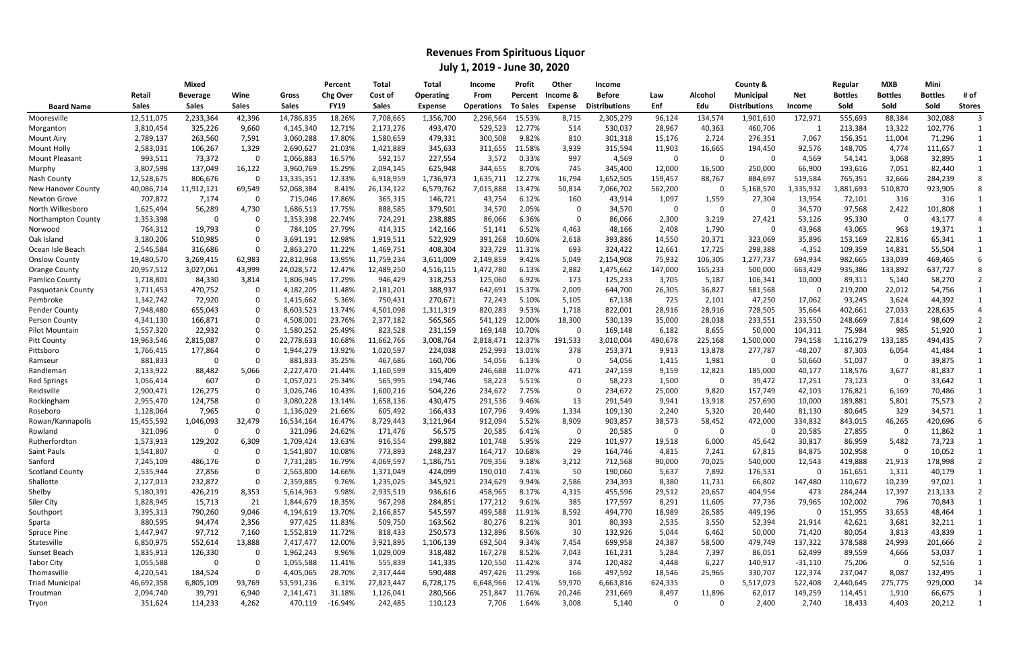|                           | Mixed        |              |              |              | Percent         | Total        | Total     | Income            | Profit          | Other       | <b>Income</b>        |         |         | County &             |            | Regular        | <b>MXB</b>     | Mini           |               |
|---------------------------|--------------|--------------|--------------|--------------|-----------------|--------------|-----------|-------------------|-----------------|-------------|----------------------|---------|---------|----------------------|------------|----------------|----------------|----------------|---------------|
|                           | Retail       | Beverage     | Wine         | Gross        | <b>Chg Over</b> | Cost of      | Operating | From              | Percent         | Income &    | <b>Before</b>        | Law     | Alcohol | <b>Municipal</b>     | <b>Net</b> | <b>Bottles</b> | <b>Bottles</b> | <b>Bottles</b> | # of          |
| <b>Board Name</b>         | <b>Sales</b> | <b>Sales</b> | <b>Sales</b> | <b>Sales</b> | <b>FY19</b>     | <b>Sales</b> | Expense   | <b>Operations</b> | <b>To Sales</b> | Expense     | <b>Distributions</b> | Enf     | Edu     | <b>Distributions</b> | Income     | Sold           | Sold           | Sold           | <b>Stores</b> |
| Mooresville               | 12,511,075   | 2,233,364    | 42,396       | 14,786,835   | 18.26%          | 7,708,665    | 1,356,700 | 2,296,564         | 15.53%          | 8,715       | 2,305,279            | 96,124  | 134,574 | 1,901,610            | 172,971    | 555,693        | 88,384         | 302,088        |               |
| Morganton                 | 3,810,454    | 325,226      | 9,660        | 4,145,340    | 12.71%          | 2,173,276    | 493,470   | 529,523           | 12.77%          | 514         | 530,037              | 28,967  | 40,363  | 460,706              |            | 213,384        | 13,322         | 102,776        |               |
| Mount Airy                | 2,789,137    | 263,560      | 7,591        | 3,060,288    | 17.80%          | 1,580,659    | 479,331   | 300,508           | 9.82%           | 810         | 301,318              | 15,176  | 2,724   | 276,351              | 7,067      | 156,351        | 11,004         | 71,296         |               |
| Mount Holly               | 2,583,031    | 106,267      | 1,329        | 2,690,627    | 21.03%          | 1,421,889    | 345,633   | 311,655           | 11.58%          | 3,939       | 315,594              | 11,903  | 16,665  | 194,450              | 92,576     | 148,705        | 4,774          | 111,657        |               |
| Mount Pleasant            | 993,511      | 73,372       |              | 1,066,883    | 16.57%          | 592,157      | 227,554   | 3,572             | 0.33%           | 997         | 4,569                | - 0     | 0       | 0                    | 4,569      | 54,141         | 3,068          | 32,895         |               |
| Murphy                    | 3,807,598    | 137,049      | 16,122       | 3,960,769    | 15.29%          | 2,094,145    | 625,948   | 344,655           | 8.70%           | 745         | 345,400              | 12,000  | 16,500  | 250,000              | 66,900     | 193,616        | 7,051          | 82,440         |               |
| Nash County               | 12,528,675   | 806,676      |              | 13,335,351   | 12.33%          | 6,918,959    | 1,736,973 | 1,635,711         | 12.27%          | 16,794      | 1,652,505            | 159,457 | 88,767  | 884,697              | 519,584    | 765,351        | 32,666         | 284,239        | 8             |
| <b>New Hanover County</b> | 40,086,714   | 11,912,121   | 69,549       | 52,068,384   | 8.41%           | 26,134,122   | 6,579,762 | 7,015,888         | 13.47%          | 50,814      | 7,066,702            | 562,200 | 0       | 5,168,570            | ,335,932   | ,881,693       | 510,870        | 923,905        |               |
| Newton Grove              | 707,872      | 7,174        | -0           | 715,046      | 17.86%          | 365,315      | 146,721   | 43,754            | 6.12%           | 160         | 43,914               | 1,097   | 1,559   | 27,304               | 13,954     | 72,101         | 316            | 316            |               |
| North Wilkesboro          | 1,625,494    | 56,289       | 4,730        | 1,686,513    | 17.75%          | 888,585      | 379,501   | 34,570            | 2.05%           | 0           | 34,570               | - 0     | 0       | 0                    | 34,570     | 97,568         | 2,422          | 101,808        |               |
| Northampton County        | 1,353,398    |              |              | 1,353,398    | 22.74%          | 724,291      | 238,885   | 86,066            | 6.36%           | 0           | 86,066               | 2,300   | 3,219   | 27,421               | 53,126     | 95,330         | - 0            | 43,177         |               |
| Norwood                   | 764,312      | 19,793       |              | 784,105      | 27.79%          | 414,315      | 142,166   | 51,141            | 6.52%           | 4,463       | 48,166               | 2,408   | 1,790   | 0                    | 43,968     | 43,065         | 963            | 19,371         |               |
| Oak Islanc                | 3,180,206    | 510,985      |              | 3,691,191    | 12.98%          | 1,919,511    | 522,929   | 391,268           | 10.60%          | 2,618       | 393,886              | 14,550  | 20,371  | 323,069              | 35,896     | 153,169        | 22,816         | 65,341         |               |
| Ocean Isle Beach          | 2,546,584    | 316,686      |              | 2,863,270    | 11.22%          | 1,469,751    | 408,304   | 323,729           | 11.31%          | 693         | 324,422              | 12,661  | 17,725  | 298,388              | $-4,352$   | 109,359        | 14,831         | 55,504         |               |
| <b>Onslow County</b>      | 19,480,570   | 3,269,415    | 62,983       | 22,812,968   | 13.95%          | 11,759,234   | 3,611,009 | 2,149,859         | 9.42%           | 5,049       | 2,154,908            | 75,932  | 106,305 | 1,277,737            | 694,934    | 982,665        | 133,039        | 469,465        |               |
| <b>Orange County</b>      | 20,957,512   | 3,027,061    | 43,999       | 24,028,572   | 12.47%          | 12,489,250   | 4,516,115 | 1,472,780         | 6.13%           | 2,882       | 1,475,662            | 147,000 | 165,233 | 500,000              | 663,429    | 935,386        | 133,892        | 637,727        |               |
| Pamlico County            | 1,718,801    | 84,330       | 3,814        | 1,806,945    | 17.29%          | 946,429      | 318,253   | 125,060           | 6.92%           | 173         | 125,233              | 3,705   | 5,187   | 106,341              | 10,000     | 89,311         | 5,140          | 58,270         |               |
| Pasquotank County         | 3,711,453    | 470,752      |              | 4,182,205    | 11.48%          | 2,181,201    | 388,937   | 642,691           | 15.37%          | 2,009       | 644,700              | 26,305  | 36,827  | 581,568              |            | 219,200        | 22,012         | 54,756         |               |
| Pembroke                  | 1,342,742    | 72,920       |              | 1,415,662    | 5.36%           | 750,431      | 270,671   | 72,243            | 5.10%           | 5,105       | 67,138               | 725     | 2,101   | 47,250               | 17,062     | 93,245         | 3,624          | 44,392         |               |
| Pender County             | 7,948,480    | 655,043      |              | 8,603,523    | 13.74%          | 4,501,098    | 1,311,319 | 820,283           | 9.53%           | 1,718       | 822,001              | 28,916  | 28,916  | 728,505              | 35,664     | 402,661        | 27,033         | 228,635        |               |
| Person County             | 4,341,130    | 166,871      |              | 4,508,001    | 23.76%          | 2,377,182    | 565,565   | 541,129           | 12.00%          | 18,300      | 530,139              | 35,000  | 28,038  | 233,551              | 233,550    | 248,669        | 7,814          | 98,609         |               |
| Pilot Mountain            | 1,557,320    | 22,932       |              | 1,580,252    | 25.49%          | 823,528      | 231,159   | 169,148           | 10.70%          | 0           | 169,148              | 6,182   | 8,655   | 50,000               | 104,311    | 75,984         | 985            | 51,920         |               |
| Pitt County               | 19,963,546   | 2,815,087    |              | 22,778,633   | 10.68%          | 11,662,766   | 3,008,764 | 2,818,471         | 12.37%          | 191,533     | 3,010,004            | 490,678 | 225,168 | 1,500,000            | 794,158    | 1,116,279      | 133,185        | 494,435        |               |
| Pittsboro                 | 1,766,415    | 177,864      |              | 1,944,279    | 13.92%          | 1,020,597    | 224,038   | 252,993           | 13.01%          | 378         | 253,371              | 9,913   | 13,878  | 277,787              | $-48,207$  | 87,303         | 6,054          | 41,484         |               |
| Ramseur                   | 881,833      |              | $\Omega$     | 881,833      | 35.25%          | 467,686      | 160,706   | 54,056            | 6.13%           | $\mathbf 0$ | 54,056               | 1,415   | 1,981   | 0                    | 50,660     | 51,037         | -0             | 39,875         |               |
| Randleman                 | 2,133,922    | 88,482       | 5,066        | 2,227,470    | 21.44%          | 1,160,599    | 315,409   | 246,688           | 11.07%          | 471         | 247,159              | 9,159   | 12,823  | 185,000              | 40,177     | 118,576        | 3,677          | 81,837         |               |
| <b>Red Springs</b>        | 1,056,414    | 607          |              | 1,057,021    | 25.34%          | 565,995      | 194,746   | 58,223            | 5.51%           | 0           | 58,223               | 1,500   | 0       | 39,472               | 17,251     | 73,123         | - 0            | 33,642         |               |
| Reidsville                | 2,900,471    | 126,275      |              | 3,026,746    | 10.43%          | 1,600,216    | 504,226   | 234,672           | 7.75%           | 0           | 234,672              | 25,000  | 9,820   | 157,749              | 42,103     | 176,821        | 6,169          | 70,486         |               |
| Rockingham                | 2,955,470    | 124,758      |              | 3,080,228    | 13.14%          | 1,658,136    | 430,475   | 291,536           | 9.46%           | 13          | 291,549              | 9,941   | 13,918  | 257,690              | 10,000     | 189,881        | 5,801          | 75,573         |               |
| Roseboro                  | 1,128,064    | 7,965        |              | 1,136,029    | 21.66%          | 605,492      | 166,433   | 107,796           | 9.49%           | 1,334       | 109,130              | 2,240   | 5,320   | 20,440               | 81,130     | 80,645         | 329            | 34,571         |               |
| Rowan/Kannapolis          | 15,455,592   | 1,046,093    | 32,479       | 16,534,164   | 16.47%          | 8,729,443    | 3,121,964 | 912,094           | 5.52%           | 8,909       | 903,857              | 38,573  | 58,452  | 472,000              | 334,832    | 843,015        | 46,265         | 420,696        |               |
| Rowland                   | 321,096      | -0           |              | 321,096      | 24.62%          | 171,476      | 56,575    | 20,585            | 6.41%           | 0           | 20,585               | - 0     | 0       | 0                    | 20,585     | 27,855         | - 0            | 11,862         |               |
| Rutherfordton             | 1,573,913    | 129,202      | 6,309        | 1,709,424    | 13.63%          | 916,554      | 299,882   | 101,748           | 5.95%           | 229         | 101,977              | 19,518  | 6,000   | 45,642               | 30,817     | 86,959         | 5,482          | 73,723         |               |
| Saint Pauls               | 1,541,807    | -0           |              | 1,541,807    | 10.08%          | 773,893      | 248,237   | 164,717           | 10.68%          | 29          | 164,746              | 4,815   | 7,241   | 67,815               | 84,875     | 102,958        | 0              | 10,052         |               |
| Sanford                   | 7,245,109    | 486,176      |              | 7,731,285    | 16.79%          | 4,069,597    | 1,186,751 | 709,356           | 9.18%           | 3,212       | 712,568              | 90,000  | 70,025  | 540,000              | 12,543     | 419,888        | 21,913         | 178,998        |               |
| <b>Scotland County</b>    | 2,535,944    | 27,856       |              | 2,563,800    | 14.66%          | 1,371,049    | 424,099   | 190,010           | 7.41%           | 50          | 190,060              | 5,637   | 7,892   | 176,531              | 0          | 161,651        | 1,311          | 40,179         |               |
| Shallotte                 | 2,127,013    | 232,872      |              | 2,359,885    | 9.76%           | 1,235,025    | 345,921   | 234,629           | 9.94%           | 2,586       | 234,393              | 8,380   | 11,731  | 66,802               | 147,480    | 110,672        | 10,239         | 97,021         |               |
| Shelby                    | 5,180,391    | 426,219      | 8,353        | 5,614,963    | 9.98%           | 2,935,519    | 936,616   | 458,965           | 8.17%           | 4,315       | 455,596              | 29,512  | 20,657  | 404,954              | 473        | 284,244        | 17,397         | 213,133        |               |
| Siler City                | 1,828,945    | 15,713       | 21           | 1,844,679    | 18.35%          | 967,298      | 284,851   | 177,212           | 9.61%           | 385         | 177,597              | 8,291   | 11,605  | 77,736               | 79,965     | 102,002        | 796            | 70,843         |               |
| Southport                 | 3,395,313    | 790,260      | 9,046        | 4,194,619    | 13.70%          | 2,166,857    | 545,597   | 499,588           | 11.91%          | 8,592       | 494,770              | 18,989  | 26,585  | 449,196              | 0          | 151,955        | 33,653         | 48,464         |               |
| Sparta                    | 880,595      | 94,474       | 2,356        | 977,425      | 11.83%          | 509,750      | 163,562   | 80,276            | 8.21%           | 301         | 80,393               | 2,535   | 3,550   | 52,394               | 21,914     | 42,621         | 3,681          | 32,211         |               |
| Spruce Pine               | 1,447,947    | 97,712       | 7,160        | 1,552,819    | 11.72%          | 818,433      | 250,573   | 132,896           | 8.56%           | 30          | 132,926              | 5,044   | 6,462   | 50,000               | 71,420     | 80,054         | 3,813          | 43,839         |               |
| Statesville               | 6,850,975    | 552,614      | 13,888       | 7,417,477    | 12.00%          | 3,921,895    | 1,106,139 | 692,504           | 9.34%           | 7,454       | 699,958              | 24,387  | 58,500  | 479,749              | 137,322    | 378,588        | 24,993         | 201,666        |               |
| Sunset Beach              | 1,835,913    | 126,330      |              | 1,962,243    | 9.96%           | 1,029,009    | 318,482   | 167,278           | 8.52%           | 7,043       | 161,231              | 5,284   | 7,397   | 86,051               | 62,499     | 89,559         | 4,666          | 53,037         |               |
| <b>Tabor City</b>         | 1,055,588    |              |              | 1,055,588    | 11.41%          | 555,839      | 141,335   | 120,550           | 11.42%          | 374         | 120,482              | 4,448   | 6,227   | 140,917              | $-31,110$  | 75,206         | - 0            | 52,516         |               |
| Thomasville               | 4,220,541    | 184,524      |              | 4,405,065    | 28.70%          | 2,317,444    | 590,488   |                   | 497,426 11.29%  | 166         | 497,592              | 18,546  | 25,965  | 330,707              | 122,374    | 237,047        | 8,087          | 132,495        |               |
| <b>Triad Municipal</b>    | 46,692,358   | 6,805,109    | 93,769       | 53,591,236   | 6.31%           | 27,823,447   | 6,728,175 | 6,648,966 12.41%  |                 | 59,970      | 6,663,816            | 624,335 | 0       | 5,517,073            | 522,408    | 2,440,645      | 275,775        | 929,000        | 14            |
| Troutman                  | 2,094,740    | 39,791       | 6,940        | 2,141,471    | 31.18%          | 1,126,041    | 280,566   | 251,847           | 11.76%          | 20,246      | 231,669              | 8,497   | 11,896  | 62,017               | 149,259    | 114,451        | 1,910          | 66,675         |               |
| Tryon                     | 351,624      | 114,233      | 4,262        | 470,119      | -16.94%         | 242,485      | 110,123   | 7,706             | 1.64%           | 3,008       | 5,140                | 0       | 0       | 2,400                | 2,740      | 18,433         | 4,403          | 20,212         |               |